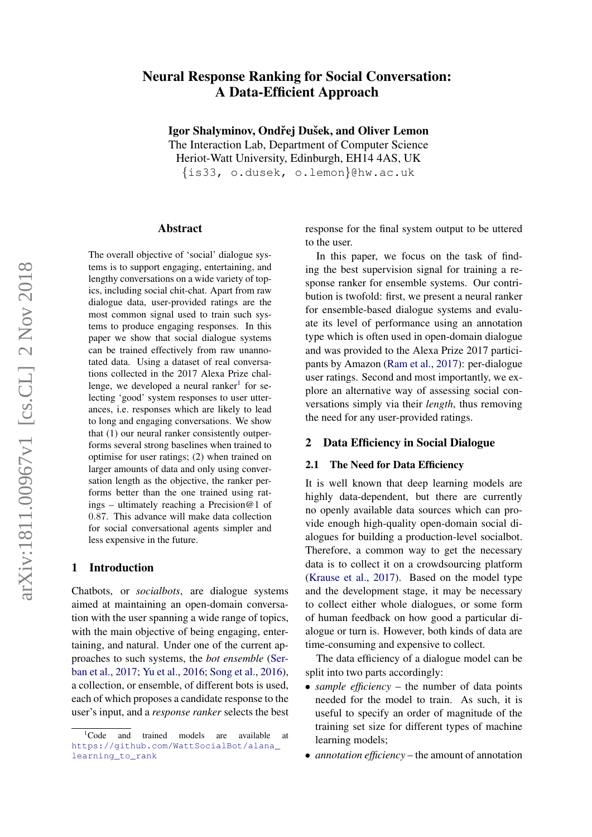# Neural Response Ranking for Social Conversation: A Data-Efficient Approach

Igor Shalyminov, Ondřej Dušek, and Oliver Lemon

The Interaction Lab, Department of Computer Science Heriot-Watt University, Edinburgh, EH14 4AS, UK {is33, o.dusek, o.lemon}@hw.ac.uk

#### Abstract

The overall objective of 'social' dialogue systems is to support engaging, entertaining, and lengthy conversations on a wide variety of topics, including social chit-chat. Apart from raw dialogue data, user-provided ratings are the most common signal used to train such systems to produce engaging responses. In this paper we show that social dialogue systems can be trained effectively from raw unannotated data. Using a dataset of real conversations collected in the 2017 Alexa Prize challenge, we developed a neural ranker $1$  for selecting 'good' system responses to user utterances, i.e. responses which are likely to lead to long and engaging conversations. We show that (1) our neural ranker consistently outperforms several strong baselines when trained to optimise for user ratings; (2) when trained on larger amounts of data and only using conversation length as the objective, the ranker performs better than the one trained using ratings – ultimately reaching a Precision@1 of 0.87. This advance will make data collection for social conversational agents simpler and less expensive in the future.

### 1 Introduction

Chatbots, or *socialbots*, are dialogue systems aimed at maintaining an open-domain conversation with the user spanning a wide range of topics, with the main objective of being engaging, entertaining, and natural. Under one of the current approaches to such systems, the *bot ensemble* [\(Ser](#page-6-0)[ban et al.,](#page-6-0) [2017;](#page-6-0) [Yu et al.,](#page-7-0) [2016;](#page-7-0) [Song et al.,](#page-7-1) [2016\)](#page-7-1), a collection, or ensemble, of different bots is used, each of which proposes a candidate response to the user's input, and a *response ranker* selects the best response for the final system output to be uttered to the user.

In this paper, we focus on the task of finding the best supervision signal for training a response ranker for ensemble systems. Our contribution is twofold: first, we present a neural ranker for ensemble-based dialogue systems and evaluate its level of performance using an annotation type which is often used in open-domain dialogue and was provided to the Alexa Prize 2017 participants by Amazon [\(Ram et al.,](#page-6-1) [2017\)](#page-6-1): per-dialogue user ratings. Second and most importantly, we explore an alternative way of assessing social conversations simply via their *length*, thus removing the need for any user-provided ratings.

### 2 Data Efficiency in Social Dialogue

### 2.1 The Need for Data Efficiency

It is well known that deep learning models are highly data-dependent, but there are currently no openly available data sources which can provide enough high-quality open-domain social dialogues for building a production-level socialbot. Therefore, a common way to get the necessary data is to collect it on a crowdsourcing platform [\(Krause et al.,](#page-6-2) [2017\)](#page-6-2). Based on the model type and the development stage, it may be necessary to collect either whole dialogues, or some form of human feedback on how good a particular dialogue or turn is. However, both kinds of data are time-consuming and expensive to collect.

The data efficiency of a dialogue model can be split into two parts accordingly:

- *sample efficiency* the number of data points needed for the model to train. As such, it is useful to specify an order of magnitude of the training set size for different types of machine learning models;
- *annotation efficiency* the amount of annotation

<span id="page-0-0"></span><sup>&</sup>lt;sup>1</sup>Code and trained models are available at [https://github.com/WattSocialBot/alana\\_](https://github.com/WattSocialBot/alana_learning_to_rank) [learning\\_to\\_rank](https://github.com/WattSocialBot/alana_learning_to_rank)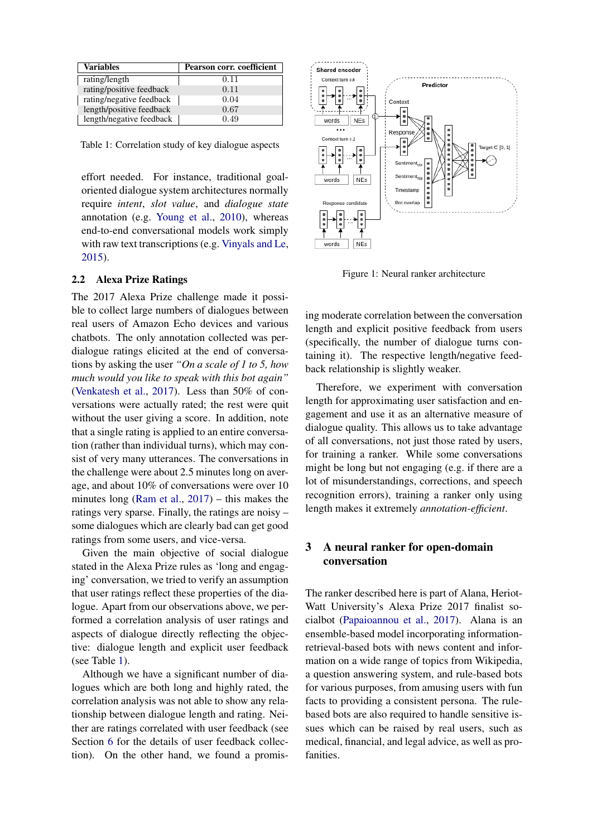| <b>Variables</b>         | Pearson corr. coefficient |
|--------------------------|---------------------------|
| rating/length            | 0.11                      |
| rating/positive feedback | 0.11                      |
| rating/negative feedback | 0.04                      |
| length/positive feedback | 0.67                      |
| length/negative feedback | 0.49                      |

<span id="page-1-0"></span>Table 1: Correlation study of key dialogue aspects

effort needed. For instance, traditional goaloriented dialogue system architectures normally require *intent*, *slot value*, and *dialogue state* annotation (e.g. [Young et al.,](#page-7-2) [2010\)](#page-7-2), whereas end-to-end conversational models work simply with raw text transcriptions (e.g. [Vinyals and Le,](#page-7-3) [2015\)](#page-7-3).

### 2.2 Alexa Prize Ratings

The 2017 Alexa Prize challenge made it possible to collect large numbers of dialogues between real users of Amazon Echo devices and various chatbots. The only annotation collected was perdialogue ratings elicited at the end of conversations by asking the user *"On a scale of 1 to 5, how much would you like to speak with this bot again"* [\(Venkatesh et al.,](#page-7-4) [2017\)](#page-7-4). Less than 50% of conversations were actually rated; the rest were quit without the user giving a score. In addition, note that a single rating is applied to an entire conversation (rather than individual turns), which may consist of very many utterances. The conversations in the challenge were about 2.5 minutes long on average, and about 10% of conversations were over 10 minutes long [\(Ram et al.,](#page-6-1) [2017\)](#page-6-1) – this makes the ratings very sparse. Finally, the ratings are noisy – some dialogues which are clearly bad can get good ratings from some users, and vice-versa.

Given the main objective of social dialogue stated in the Alexa Prize rules as 'long and engaging' conversation, we tried to verify an assumption that user ratings reflect these properties of the dialogue. Apart from our observations above, we performed a correlation analysis of user ratings and aspects of dialogue directly reflecting the objective: dialogue length and explicit user feedback (see Table [1\)](#page-1-0).

Although we have a significant number of dialogues which are both long and highly rated, the correlation analysis was not able to show any relationship between dialogue length and rating. Neither are ratings correlated with user feedback (see Section [6](#page-3-0) for the details of user feedback collection). On the other hand, we found a promis-



<span id="page-1-1"></span>Figure 1: Neural ranker architecture

ing moderate correlation between the conversation length and explicit positive feedback from users (specifically, the number of dialogue turns containing it). The respective length/negative feedback relationship is slightly weaker.

Therefore, we experiment with conversation length for approximating user satisfaction and engagement and use it as an alternative measure of dialogue quality. This allows us to take advantage of all conversations, not just those rated by users, for training a ranker. While some conversations might be long but not engaging (e.g. if there are a lot of misunderstandings, corrections, and speech recognition errors), training a ranker only using length makes it extremely *annotation-efficient*.

## 3 A neural ranker for open-domain conversation

The ranker described here is part of Alana, Heriot-Watt University's Alexa Prize 2017 finalist socialbot [\(Papaioannou et al.,](#page-6-3) [2017\)](#page-6-3). Alana is an ensemble-based model incorporating informationretrieval-based bots with news content and information on a wide range of topics from Wikipedia, a question answering system, and rule-based bots for various purposes, from amusing users with fun facts to providing a consistent persona. The rulebased bots are also required to handle sensitive issues which can be raised by real users, such as medical, financial, and legal advice, as well as profanities.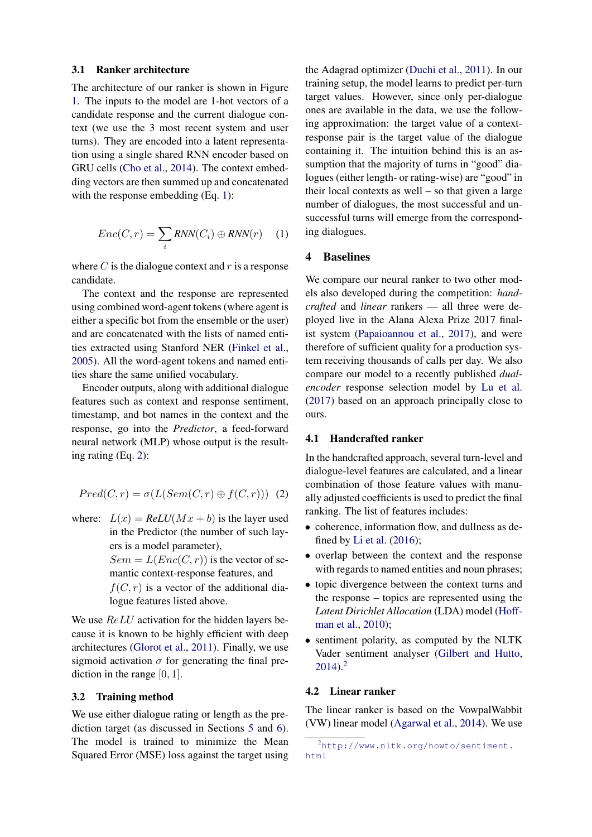#### 3.1 Ranker architecture

The architecture of our ranker is shown in Figure [1.](#page-1-1) The inputs to the model are 1-hot vectors of a candidate response and the current dialogue context (we use the 3 most recent system and user turns). They are encoded into a latent representation using a single shared RNN encoder based on GRU cells [\(Cho et al.,](#page-6-4) [2014\)](#page-6-4). The context embedding vectors are then summed up and concatenated with the response embedding (Eq. [1\)](#page-2-0):

<span id="page-2-0"></span>
$$
Enc(C, r) = \sum_{i} RNN(C_i) \oplus RNN(r) \quad (1)
$$

where  $C$  is the dialogue context and  $r$  is a response candidate.

The context and the response are represented using combined word-agent tokens (where agent is either a specific bot from the ensemble or the user) and are concatenated with the lists of named entities extracted using Stanford NER [\(Finkel et al.,](#page-6-5) [2005\)](#page-6-5). All the word-agent tokens and named entities share the same unified vocabulary.

Encoder outputs, along with additional dialogue features such as context and response sentiment, timestamp, and bot names in the context and the response, go into the *Predictor*, a feed-forward neural network (MLP) whose output is the resulting rating (Eq. [2\)](#page-2-1):

<span id="page-2-1"></span>
$$
Pred(C, r) = \sigma(L(Sem(C, r) \oplus f(C, r))) \tag{2}
$$

where:  $L(x) = ReLU(Mx + b)$  is the layer used in the Predictor (the number of such layers is a model parameter),  $Sem = L(Enc(C, r))$  is the vector of semantic context-response features, and  $f(C, r)$  is a vector of the additional dialogue features listed above.

We use  $ReLU$  activation for the hidden layers because it is known to be highly efficient with deep architectures [\(Glorot et al.,](#page-6-6) [2011\)](#page-6-6). Finally, we use sigmoid activation  $\sigma$  for generating the final prediction in the range [0, 1].

#### <span id="page-2-3"></span>3.2 Training method

We use either dialogue rating or length as the prediction target (as discussed in Sections [5](#page-3-1) and [6\)](#page-3-0). The model is trained to minimize the Mean Squared Error (MSE) loss against the target using the Adagrad optimizer [\(Duchi et al.,](#page-6-7) [2011\)](#page-6-7). In our training setup, the model learns to predict per-turn target values. However, since only per-dialogue ones are available in the data, we use the following approximation: the target value of a contextresponse pair is the target value of the dialogue containing it. The intuition behind this is an assumption that the majority of turns in "good" dialogues (either length- or rating-wise) are "good" in their local contexts as well – so that given a large number of dialogues, the most successful and unsuccessful turns will emerge from the corresponding dialogues.

### 4 Baselines

We compare our neural ranker to two other models also developed during the competition: *handcrafted* and *linear* rankers — all three were deployed live in the Alana Alexa Prize 2017 finalist system [\(Papaioannou et al.,](#page-6-3) [2017\)](#page-6-3), and were therefore of sufficient quality for a production system receiving thousands of calls per day. We also compare our model to a recently published *dualencoder* response selection model by [Lu et al.](#page-6-8) [\(2017\)](#page-6-8) based on an approach principally close to ours.

### 4.1 Handcrafted ranker

In the handcrafted approach, several turn-level and dialogue-level features are calculated, and a linear combination of those feature values with manually adjusted coefficients is used to predict the final ranking. The list of features includes:

- coherence, information flow, and dullness as defined by [Li et al.](#page-6-9) [\(2016\)](#page-6-9);
- overlap between the context and the response with regards to named entities and noun phrases;
- topic divergence between the context turns and the response – topics are represented using the *Latent Dirichlet Allocation* (LDA) model [\(Hoff](#page-6-10)[man et al.,](#page-6-10) [2010\)](#page-6-10);
- sentiment polarity, as computed by the NLTK Vader sentiment analyser [\(Gilbert and Hutto,](#page-6-11)  $2014$  $2014$ )<sup>2</sup>

### 4.2 Linear ranker

The linear ranker is based on the VowpalWabbit (VW) linear model [\(Agarwal et al.,](#page-6-12) [2014\)](#page-6-12). We use

<span id="page-2-2"></span><sup>2</sup>[http://www.nltk.org/howto/sentiment.](http://www.nltk.org/howto/sentiment.html) [html](http://www.nltk.org/howto/sentiment.html)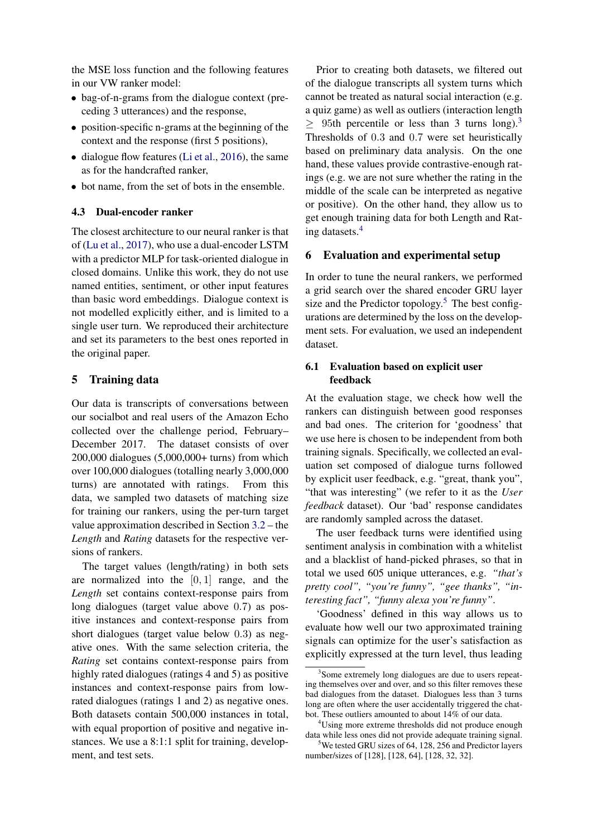the MSE loss function and the following features in our VW ranker model:

- bag-of-n-grams from the dialogue context (preceding 3 utterances) and the response,
- position-specific n-grams at the beginning of the context and the response (first 5 positions),
- dialogue flow features [\(Li et al.,](#page-6-9) [2016\)](#page-6-9), the same as for the handcrafted ranker,
- bot name, from the set of bots in the ensemble.

### 4.3 Dual-encoder ranker

The closest architecture to our neural ranker is that of [\(Lu et al.,](#page-6-8) [2017\)](#page-6-8), who use a dual-encoder LSTM with a predictor MLP for task-oriented dialogue in closed domains. Unlike this work, they do not use named entities, sentiment, or other input features than basic word embeddings. Dialogue context is not modelled explicitly either, and is limited to a single user turn. We reproduced their architecture and set its parameters to the best ones reported in the original paper.

### <span id="page-3-1"></span>5 Training data

Our data is transcripts of conversations between our socialbot and real users of the Amazon Echo collected over the challenge period, February– December 2017. The dataset consists of over 200,000 dialogues (5,000,000+ turns) from which over 100,000 dialogues (totalling nearly 3,000,000 turns) are annotated with ratings. From this data, we sampled two datasets of matching size for training our rankers, using the per-turn target value approximation described in Section [3.2](#page-2-3) – the *Length* and *Rating* datasets for the respective versions of rankers.

The target values (length/rating) in both sets are normalized into the  $[0, 1]$  range, and the *Length* set contains context-response pairs from long dialogues (target value above 0.7) as positive instances and context-response pairs from short dialogues (target value below 0.3) as negative ones. With the same selection criteria, the *Rating* set contains context-response pairs from highly rated dialogues (ratings 4 and 5) as positive instances and context-response pairs from lowrated dialogues (ratings 1 and 2) as negative ones. Both datasets contain 500,000 instances in total, with equal proportion of positive and negative instances. We use a 8:1:1 split for training, development, and test sets.

Prior to creating both datasets, we filtered out of the dialogue transcripts all system turns which cannot be treated as natural social interaction (e.g. a quiz game) as well as outliers (interaction length  $\geq$  95th percentile or less than [3](#page-3-2) turns long).<sup>3</sup> Thresholds of 0.3 and 0.7 were set heuristically based on preliminary data analysis. On the one hand, these values provide contrastive-enough ratings (e.g. we are not sure whether the rating in the middle of the scale can be interpreted as negative or positive). On the other hand, they allow us to get enough training data for both Length and Rating datasets.[4](#page-3-3)

### <span id="page-3-0"></span>6 Evaluation and experimental setup

In order to tune the neural rankers, we performed a grid search over the shared encoder GRU layer size and the Predictor topology.<sup>[5](#page-3-4)</sup> The best configurations are determined by the loss on the development sets. For evaluation, we used an independent dataset.

### 6.1 Evaluation based on explicit user feedback

At the evaluation stage, we check how well the rankers can distinguish between good responses and bad ones. The criterion for 'goodness' that we use here is chosen to be independent from both training signals. Specifically, we collected an evaluation set composed of dialogue turns followed by explicit user feedback, e.g. "great, thank you", "that was interesting" (we refer to it as the *User feedback* dataset). Our 'bad' response candidates are randomly sampled across the dataset.

The user feedback turns were identified using sentiment analysis in combination with a whitelist and a blacklist of hand-picked phrases, so that in total we used 605 unique utterances, e.g. *"that's pretty cool", "you're funny", "gee thanks", "interesting fact", "funny alexa you're funny"*.

'Goodness' defined in this way allows us to evaluate how well our two approximated training signals can optimize for the user's satisfaction as explicitly expressed at the turn level, thus leading

<span id="page-3-2"></span><sup>&</sup>lt;sup>3</sup>Some extremely long dialogues are due to users repeating themselves over and over, and so this filter removes these bad dialogues from the dataset. Dialogues less than 3 turns long are often where the user accidentally triggered the chatbot. These outliers amounted to about 14% of our data.

<span id="page-3-3"></span><sup>4</sup>Using more extreme thresholds did not produce enough data while less ones did not provide adequate training signal.

<span id="page-3-4"></span><sup>&</sup>lt;sup>5</sup>We tested GRU sizes of 64, 128, 256 and Predictor layers number/sizes of [128], [128, 64], [128, 32, 32].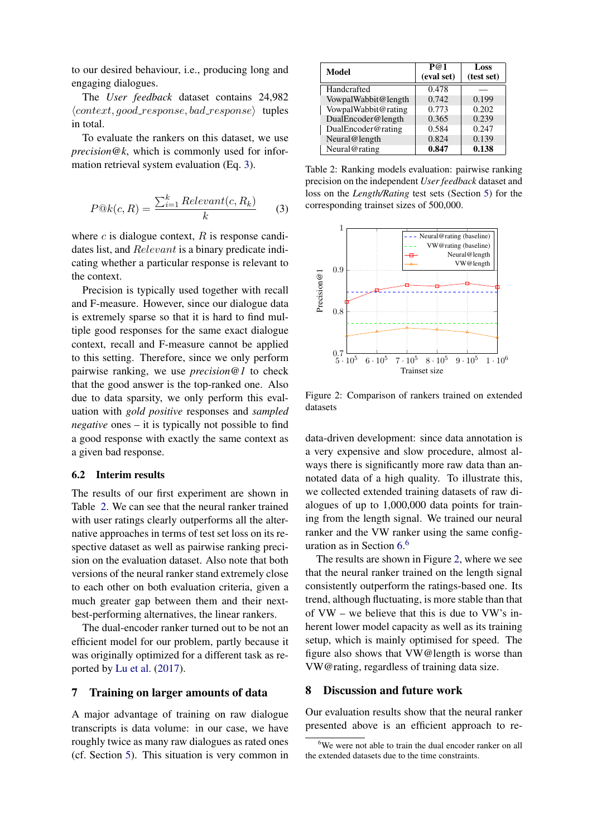to our desired behaviour, i.e., producing long and engaging dialogues.

The *User feedback* dataset contains 24,982  $\langle context, good\_response, bad\_response \rangle$  tuples in total.

To evaluate the rankers on this dataset, we use *precision@k*, which is commonly used for information retrieval system evaluation (Eq. [3\)](#page-4-0).

<span id="page-4-0"></span>
$$
P@k(c,R) = \frac{\sum_{i=1}^{k} Relevant(c,R_k)}{k}
$$
 (3)

where  $c$  is dialogue context,  $R$  is response candidates list, and Relevant is a binary predicate indicating whether a particular response is relevant to the context.

Precision is typically used together with recall and F-measure. However, since our dialogue data is extremely sparse so that it is hard to find multiple good responses for the same exact dialogue context, recall and F-measure cannot be applied to this setting. Therefore, since we only perform pairwise ranking, we use *precision@1* to check that the good answer is the top-ranked one. Also due to data sparsity, we only perform this evaluation with *gold positive* responses and *sampled negative* ones – it is typically not possible to find a good response with exactly the same context as a given bad response.

#### 6.2 Interim results

The results of our first experiment are shown in Table [2.](#page-4-1) We can see that the neural ranker trained with user ratings clearly outperforms all the alternative approaches in terms of test set loss on its respective dataset as well as pairwise ranking precision on the evaluation dataset. Also note that both versions of the neural ranker stand extremely close to each other on both evaluation criteria, given a much greater gap between them and their nextbest-performing alternatives, the linear rankers.

The dual-encoder ranker turned out to be not an efficient model for our problem, partly because it was originally optimized for a different task as reported by [Lu et al.](#page-6-8) [\(2017\)](#page-6-8).

### 7 Training on larger amounts of data

A major advantage of training on raw dialogue transcripts is data volume: in our case, we have roughly twice as many raw dialogues as rated ones (cf. Section [5\)](#page-3-1). This situation is very common in

<span id="page-4-1"></span>

| Model               | P@1<br>(eval set) | Loss<br>(test set) |
|---------------------|-------------------|--------------------|
| Handcrafted         | 0.478             |                    |
| VowpalWabbit@length | 0.742             | 0.199              |
| VowpalWabbit@rating | 0.773             | 0.202              |
| DualEncoder@length  | 0.365             | 0.239              |
| DualEncoder@rating  | 0.584             | 0.247              |
| Neural@length       | 0.824             | 0.139              |
| Neural@rating       | 0.847             | 0.138              |

Table 2: Ranking models evaluation: pairwise ranking precision on the independent *User feedback* dataset and loss on the *Length/Rating* test sets (Section [5\)](#page-3-1) for the corresponding trainset sizes of 500,000.



<span id="page-4-3"></span>Figure 2: Comparison of rankers trained on extended datasets

data-driven development: since data annotation is a very expensive and slow procedure, almost always there is significantly more raw data than annotated data of a high quality. To illustrate this, we collected extended training datasets of raw dialogues of up to 1,000,000 data points for training from the length signal. We trained our neural ranker and the VW ranker using the same configuration as in Section [6.](#page-3-0) [6](#page-4-2)

The results are shown in Figure [2,](#page-4-3) where we see that the neural ranker trained on the length signal consistently outperform the ratings-based one. Its trend, although fluctuating, is more stable than that of VW – we believe that this is due to VW's inherent lower model capacity as well as its training setup, which is mainly optimised for speed. The figure also shows that VW@length is worse than VW@rating, regardless of training data size.

### 8 Discussion and future work

Our evaluation results show that the neural ranker presented above is an efficient approach to re-

<span id="page-4-2"></span> $6$ We were not able to train the dual encoder ranker on all the extended datasets due to the time constraints.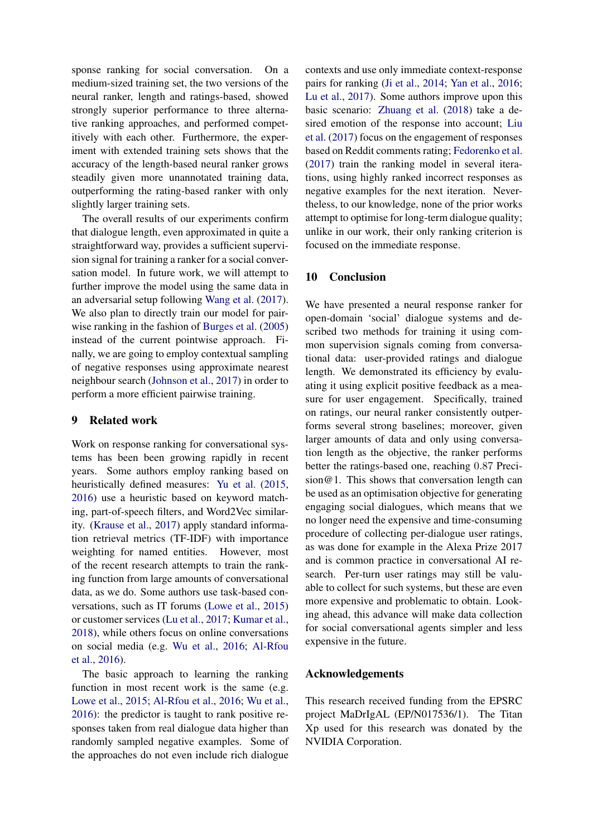sponse ranking for social conversation. On a medium-sized training set, the two versions of the neural ranker, length and ratings-based, showed strongly superior performance to three alternative ranking approaches, and performed competitively with each other. Furthermore, the experiment with extended training sets shows that the accuracy of the length-based neural ranker grows steadily given more unannotated training data, outperforming the rating-based ranker with only slightly larger training sets.

The overall results of our experiments confirm that dialogue length, even approximated in quite a straightforward way, provides a sufficient supervision signal for training a ranker for a social conversation model. In future work, we will attempt to further improve the model using the same data in an adversarial setup following [Wang et al.](#page-7-5) [\(2017\)](#page-7-5). We also plan to directly train our model for pairwise ranking in the fashion of [Burges et al.](#page-6-13) [\(2005\)](#page-6-13) instead of the current pointwise approach. Finally, we are going to employ contextual sampling of negative responses using approximate nearest neighbour search [\(Johnson et al.,](#page-6-14) [2017\)](#page-6-14) in order to perform a more efficient pairwise training.

### 9 Related work

Work on response ranking for conversational systems has been been growing rapidly in recent years. Some authors employ ranking based on heuristically defined measures: [Yu et al.](#page-7-6) [\(2015,](#page-7-6) [2016\)](#page-7-0) use a heuristic based on keyword matching, part-of-speech filters, and Word2Vec similarity. [\(Krause et al.,](#page-6-2) [2017\)](#page-6-2) apply standard information retrieval metrics (TF-IDF) with importance weighting for named entities. However, most of the recent research attempts to train the ranking function from large amounts of conversational data, as we do. Some authors use task-based conversations, such as IT forums [\(Lowe et al.,](#page-6-15) [2015\)](#page-6-15) or customer services [\(Lu et al.,](#page-6-8) [2017;](#page-6-8) [Kumar et al.,](#page-6-16) [2018\)](#page-6-16), while others focus on online conversations on social media (e.g. [Wu et al.,](#page-7-7) [2016;](#page-7-7) [Al-Rfou](#page-6-17) [et al.,](#page-6-17) [2016\)](#page-6-17).

The basic approach to learning the ranking function in most recent work is the same (e.g. [Lowe et al.,](#page-6-15) [2015;](#page-6-15) [Al-Rfou et al.,](#page-6-17) [2016;](#page-6-17) [Wu et al.,](#page-7-7) [2016\)](#page-7-7): the predictor is taught to rank positive responses taken from real dialogue data higher than randomly sampled negative examples. Some of the approaches do not even include rich dialogue contexts and use only immediate context-response pairs for ranking [\(Ji et al.,](#page-6-18) [2014;](#page-6-18) [Yan et al.,](#page-7-8) [2016;](#page-7-8) [Lu et al.,](#page-6-8) [2017\)](#page-6-8). Some authors improve upon this basic scenario: [Zhuang et al.](#page-7-9) [\(2018\)](#page-7-9) take a desired emotion of the response into account; [Liu](#page-6-19) [et al.](#page-6-19) [\(2017\)](#page-6-19) focus on the engagement of responses based on Reddit comments rating; [Fedorenko et al.](#page-6-20) [\(2017\)](#page-6-20) train the ranking model in several iterations, using highly ranked incorrect responses as negative examples for the next iteration. Nevertheless, to our knowledge, none of the prior works attempt to optimise for long-term dialogue quality; unlike in our work, their only ranking criterion is focused on the immediate response.

# 10 Conclusion

We have presented a neural response ranker for open-domain 'social' dialogue systems and described two methods for training it using common supervision signals coming from conversational data: user-provided ratings and dialogue length. We demonstrated its efficiency by evaluating it using explicit positive feedback as a measure for user engagement. Specifically, trained on ratings, our neural ranker consistently outperforms several strong baselines; moreover, given larger amounts of data and only using conversation length as the objective, the ranker performs better the ratings-based one, reaching 0.87 Precision@1. This shows that conversation length can be used as an optimisation objective for generating engaging social dialogues, which means that we no longer need the expensive and time-consuming procedure of collecting per-dialogue user ratings, as was done for example in the Alexa Prize 2017 and is common practice in conversational AI research. Per-turn user ratings may still be valuable to collect for such systems, but these are even more expensive and problematic to obtain. Looking ahead, this advance will make data collection for social conversational agents simpler and less expensive in the future.

# Acknowledgements

This research received funding from the EPSRC project MaDrIgAL (EP/N017536/1). The Titan Xp used for this research was donated by the NVIDIA Corporation.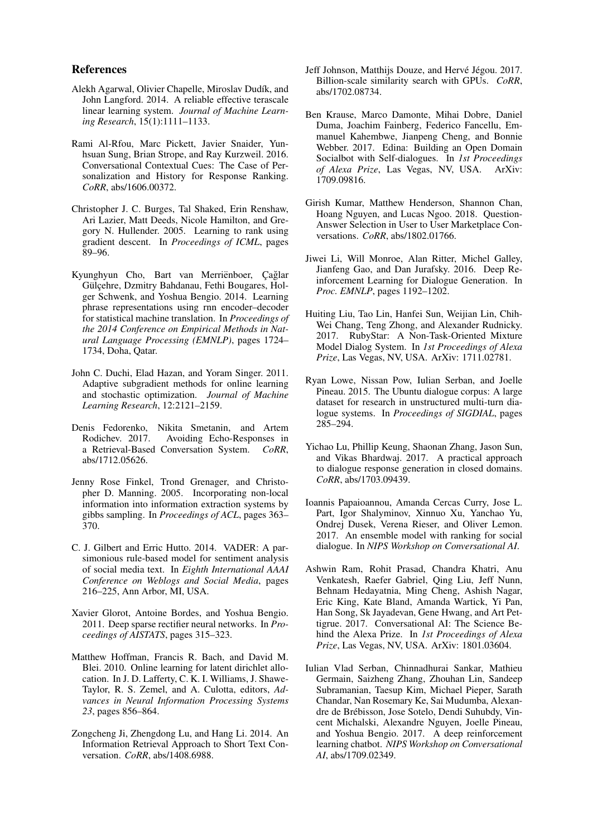#### References

- <span id="page-6-12"></span>Alekh Agarwal, Olivier Chapelle, Miroslav Dudík, and John Langford. 2014. A reliable effective terascale linear learning system. *Journal of Machine Learning Research*, 15(1):1111–1133.
- <span id="page-6-17"></span>Rami Al-Rfou, Marc Pickett, Javier Snaider, Yunhsuan Sung, Brian Strope, and Ray Kurzweil. 2016. Conversational Contextual Cues: The Case of Personalization and History for Response Ranking. *CoRR*, abs/1606.00372.
- <span id="page-6-13"></span>Christopher J. C. Burges, Tal Shaked, Erin Renshaw, Ari Lazier, Matt Deeds, Nicole Hamilton, and Gregory N. Hullender. 2005. Learning to rank using gradient descent. In *Proceedings of ICML*, pages 89–96.
- <span id="page-6-4"></span>Kyunghyun Cho, Bart van Merriënboer, Çağlar Gülçehre, Dzmitry Bahdanau, Fethi Bougares, Holger Schwenk, and Yoshua Bengio. 2014. Learning phrase representations using rnn encoder–decoder for statistical machine translation. In *Proceedings of the 2014 Conference on Empirical Methods in Natural Language Processing (EMNLP)*, pages 1724– 1734, Doha, Qatar.
- <span id="page-6-7"></span>John C. Duchi, Elad Hazan, and Yoram Singer. 2011. Adaptive subgradient methods for online learning and stochastic optimization. *Journal of Machine Learning Research*, 12:2121–2159.
- <span id="page-6-20"></span>Denis Fedorenko, Nikita Smetanin, and Artem Rodichev. 2017. Avoiding Echo-Responses in a Retrieval-Based Conversation System. *CoRR*, abs/1712.05626.
- <span id="page-6-5"></span>Jenny Rose Finkel, Trond Grenager, and Christopher D. Manning. 2005. Incorporating non-local information into information extraction systems by gibbs sampling. In *Proceedings of ACL*, pages 363– 370.
- <span id="page-6-11"></span>C. J. Gilbert and Erric Hutto. 2014. VADER: A parsimonious rule-based model for sentiment analysis of social media text. In *Eighth International AAAI Conference on Weblogs and Social Media*, pages 216–225, Ann Arbor, MI, USA.
- <span id="page-6-6"></span>Xavier Glorot, Antoine Bordes, and Yoshua Bengio. 2011. Deep sparse rectifier neural networks. In *Proceedings of AISTATS*, pages 315–323.
- <span id="page-6-10"></span>Matthew Hoffman, Francis R. Bach, and David M. Blei. 2010. Online learning for latent dirichlet allocation. In J. D. Lafferty, C. K. I. Williams, J. Shawe-Taylor, R. S. Zemel, and A. Culotta, editors, *Advances in Neural Information Processing Systems 23*, pages 856–864.
- <span id="page-6-18"></span>Zongcheng Ji, Zhengdong Lu, and Hang Li. 2014. An Information Retrieval Approach to Short Text Conversation. *CoRR*, abs/1408.6988.
- <span id="page-6-14"></span>Jeff Johnson, Matthijs Douze, and Hervé Jégou. 2017. Billion-scale similarity search with GPUs. *CoRR*, abs/1702.08734.
- <span id="page-6-2"></span>Ben Krause, Marco Damonte, Mihai Dobre, Daniel Duma, Joachim Fainberg, Federico Fancellu, Emmanuel Kahembwe, Jianpeng Cheng, and Bonnie Webber. 2017. Edina: Building an Open Domain Socialbot with Self-dialogues. In *1st Proceedings of Alexa Prize*, Las Vegas, NV, USA. ArXiv: 1709.09816.
- <span id="page-6-16"></span>Girish Kumar, Matthew Henderson, Shannon Chan, Hoang Nguyen, and Lucas Ngoo. 2018. Question-Answer Selection in User to User Marketplace Conversations. *CoRR*, abs/1802.01766.
- <span id="page-6-9"></span>Jiwei Li, Will Monroe, Alan Ritter, Michel Galley, Jianfeng Gao, and Dan Jurafsky. 2016. Deep Reinforcement Learning for Dialogue Generation. In *Proc. EMNLP*, pages 1192–1202.
- <span id="page-6-19"></span>Huiting Liu, Tao Lin, Hanfei Sun, Weijian Lin, Chih-Wei Chang, Teng Zhong, and Alexander Rudnicky. 2017. RubyStar: A Non-Task-Oriented Mixture Model Dialog System. In *1st Proceedings of Alexa Prize*, Las Vegas, NV, USA. ArXiv: 1711.02781.
- <span id="page-6-15"></span>Ryan Lowe, Nissan Pow, Iulian Serban, and Joelle Pineau. 2015. The Ubuntu dialogue corpus: A large dataset for research in unstructured multi-turn dialogue systems. In *Proceedings of SIGDIAL*, pages 285–294.
- <span id="page-6-8"></span>Yichao Lu, Phillip Keung, Shaonan Zhang, Jason Sun, and Vikas Bhardwaj. 2017. A practical approach to dialogue response generation in closed domains. *CoRR*, abs/1703.09439.
- <span id="page-6-3"></span>Ioannis Papaioannou, Amanda Cercas Curry, Jose L. Part, Igor Shalyminov, Xinnuo Xu, Yanchao Yu, Ondrej Dusek, Verena Rieser, and Oliver Lemon. 2017. An ensemble model with ranking for social dialogue. In *NIPS Workshop on Conversational AI*.
- <span id="page-6-1"></span>Ashwin Ram, Rohit Prasad, Chandra Khatri, Anu Venkatesh, Raefer Gabriel, Qing Liu, Jeff Nunn, Behnam Hedayatnia, Ming Cheng, Ashish Nagar, Eric King, Kate Bland, Amanda Wartick, Yi Pan, Han Song, Sk Jayadevan, Gene Hwang, and Art Pettigrue. 2017. Conversational AI: The Science Behind the Alexa Prize. In *1st Proceedings of Alexa Prize*, Las Vegas, NV, USA. ArXiv: 1801.03604.
- <span id="page-6-0"></span>Iulian Vlad Serban, Chinnadhurai Sankar, Mathieu Germain, Saizheng Zhang, Zhouhan Lin, Sandeep Subramanian, Taesup Kim, Michael Pieper, Sarath Chandar, Nan Rosemary Ke, Sai Mudumba, Alexandre de Brebisson, Jose Sotelo, Dendi Suhubdy, Vin- ´ cent Michalski, Alexandre Nguyen, Joelle Pineau, and Yoshua Bengio. 2017. A deep reinforcement learning chatbot. *NIPS Workshop on Conversational AI*, abs/1709.02349.